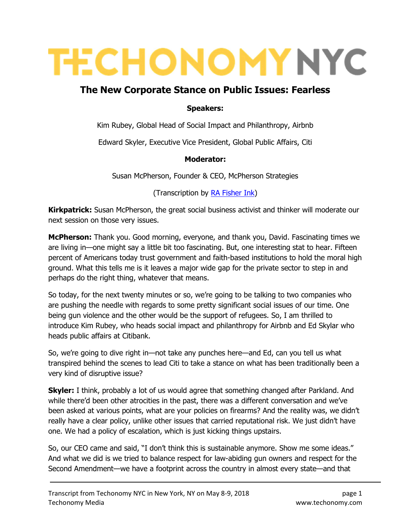# **TECHONOMY NYC**

# The New Corporate Stance on Public Issues: Fearless

#### Speakers:

Kim Rubey, Global Head of Social Impact and Philanthropy, Airbnb

Edward Skyler, Executive Vice President, Global Public Affairs, Citi

#### Moderator:

Susan McPherson, Founder & CEO, McPherson Strategies

(Transcription by RA Fisher Ink)

Kirkpatrick: Susan McPherson, the great social business activist and thinker will moderate our next session on those very issues.

McPherson: Thank you. Good morning, everyone, and thank you, David. Fascinating times we are living in—one might say a little bit too fascinating. But, one interesting stat to hear. Fifteen percent of Americans today trust government and faith-based institutions to hold the moral high ground. What this tells me is it leaves a major wide gap for the private sector to step in and perhaps do the right thing, whatever that means.

So today, for the next twenty minutes or so, we're going to be talking to two companies who are pushing the needle with regards to some pretty significant social issues of our time. One being gun violence and the other would be the support of refugees. So, I am thrilled to introduce Kim Rubey, who heads social impact and philanthropy for Airbnb and Ed Skylar who heads public affairs at Citibank.

So, we're going to dive right in—not take any punches here—and Ed, can you tell us what transpired behind the scenes to lead Citi to take a stance on what has been traditionally been a very kind of disruptive issue?

**Skyler:** I think, probably a lot of us would agree that something changed after Parkland. And while there'd been other atrocities in the past, there was a different conversation and we've been asked at various points, what are your policies on firearms? And the reality was, we didn't really have a clear policy, unlike other issues that carried reputational risk. We just didn't have one. We had a policy of escalation, which is just kicking things upstairs.

So, our CEO came and said, "I don't think this is sustainable anymore. Show me some ideas." And what we did is we tried to balance respect for law-abiding gun owners and respect for the Second Amendment—we have a footprint across the country in almost every state—and that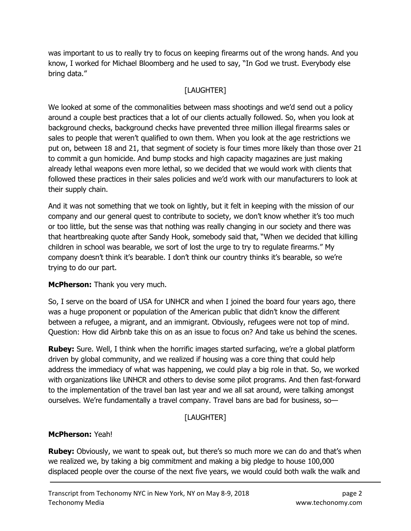was important to us to really try to focus on keeping firearms out of the wrong hands. And you know, I worked for Michael Bloomberg and he used to say, "In God we trust. Everybody else bring data."

# [LAUGHTER]

We looked at some of the commonalities between mass shootings and we'd send out a policy around a couple best practices that a lot of our clients actually followed. So, when you look at background checks, background checks have prevented three million illegal firearms sales or sales to people that weren't qualified to own them. When you look at the age restrictions we put on, between 18 and 21, that segment of society is four times more likely than those over 21 to commit a gun homicide. And bump stocks and high capacity magazines are just making already lethal weapons even more lethal, so we decided that we would work with clients that followed these practices in their sales policies and we'd work with our manufacturers to look at their supply chain.

And it was not something that we took on lightly, but it felt in keeping with the mission of our company and our general quest to contribute to society, we don't know whether it's too much or too little, but the sense was that nothing was really changing in our society and there was that heartbreaking quote after Sandy Hook, somebody said that, "When we decided that killing children in school was bearable, we sort of lost the urge to try to regulate firearms." My company doesn't think it's bearable. I don't think our country thinks it's bearable, so we're trying to do our part.

## **McPherson:** Thank you very much.

So, I serve on the board of USA for UNHCR and when I joined the board four years ago, there was a huge proponent or population of the American public that didn't know the different between a refugee, a migrant, and an immigrant. Obviously, refugees were not top of mind. Question: How did Airbnb take this on as an issue to focus on? And take us behind the scenes.

**Rubey:** Sure. Well, I think when the horrific images started surfacing, we're a global platform driven by global community, and we realized if housing was a core thing that could help address the immediacy of what was happening, we could play a big role in that. So, we worked with organizations like UNHCR and others to devise some pilot programs. And then fast-forward to the implementation of the travel ban last year and we all sat around, were talking amongst ourselves. We're fundamentally a travel company. Travel bans are bad for business, so—

# [LAUGHTER]

## McPherson: Yeah!

**Rubey:** Obviously, we want to speak out, but there's so much more we can do and that's when we realized we, by taking a big commitment and making a big pledge to house 100,000 displaced people over the course of the next five years, we would could both walk the walk and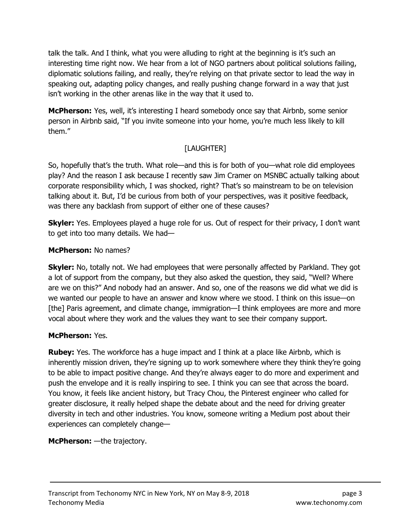talk the talk. And I think, what you were alluding to right at the beginning is it's such an interesting time right now. We hear from a lot of NGO partners about political solutions failing, diplomatic solutions failing, and really, they're relying on that private sector to lead the way in speaking out, adapting policy changes, and really pushing change forward in a way that just isn't working in the other arenas like in the way that it used to.

**McPherson:** Yes, well, it's interesting I heard somebody once say that Airbnb, some senior person in Airbnb said, "If you invite someone into your home, you're much less likely to kill them."

# [LAUGHTER]

So, hopefully that's the truth. What role—and this is for both of you—what role did employees play? And the reason I ask because I recently saw Jim Cramer on MSNBC actually talking about corporate responsibility which, I was shocked, right? That's so mainstream to be on television talking about it. But, I'd be curious from both of your perspectives, was it positive feedback, was there any backlash from support of either one of these causes?

**Skyler:** Yes. Employees played a huge role for us. Out of respect for their privacy, I don't want to get into too many details. We had—

### McPherson: No names?

**Skyler:** No, totally not. We had employees that were personally affected by Parkland. They got a lot of support from the company, but they also asked the question, they said, "Well? Where are we on this?" And nobody had an answer. And so, one of the reasons we did what we did is we wanted our people to have an answer and know where we stood. I think on this issue—on [the] Paris agreement, and climate change, immigration—I think employees are more and more vocal about where they work and the values they want to see their company support.

## McPherson: Yes.

**Rubey:** Yes. The workforce has a huge impact and I think at a place like Airbnb, which is inherently mission driven, they're signing up to work somewhere where they think they're going to be able to impact positive change. And they're always eager to do more and experiment and push the envelope and it is really inspiring to see. I think you can see that across the board. You know, it feels like ancient history, but Tracy Chou, the Pinterest engineer who called for greater disclosure, it really helped shape the debate about and the need for driving greater diversity in tech and other industries. You know, someone writing a Medium post about their experiences can completely change—

## McPherson: - the trajectory.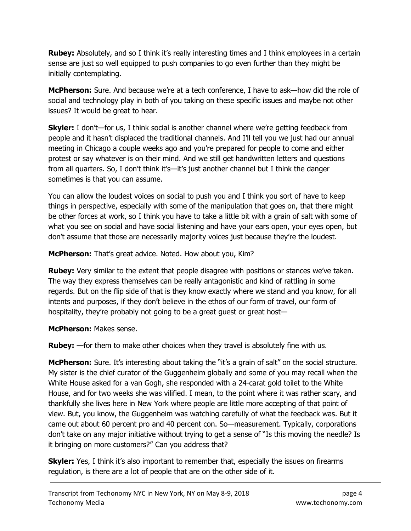**Rubey:** Absolutely, and so I think it's really interesting times and I think employees in a certain sense are just so well equipped to push companies to go even further than they might be initially contemplating.

**McPherson:** Sure. And because we're at a tech conference, I have to ask—how did the role of social and technology play in both of you taking on these specific issues and maybe not other issues? It would be great to hear.

**Skyler:** I don't—for us, I think social is another channel where we're getting feedback from people and it hasn't displaced the traditional channels. And I'll tell you we just had our annual meeting in Chicago a couple weeks ago and you're prepared for people to come and either protest or say whatever is on their mind. And we still get handwritten letters and questions from all quarters. So, I don't think it's—it's just another channel but I think the danger sometimes is that you can assume.

You can allow the loudest voices on social to push you and I think you sort of have to keep things in perspective, especially with some of the manipulation that goes on, that there might be other forces at work, so I think you have to take a little bit with a grain of salt with some of what you see on social and have social listening and have your ears open, your eyes open, but don't assume that those are necessarily majority voices just because they're the loudest.

McPherson: That's great advice. Noted. How about you, Kim?

**Rubey:** Very similar to the extent that people disagree with positions or stances we've taken. The way they express themselves can be really antagonistic and kind of rattling in some regards. But on the flip side of that is they know exactly where we stand and you know, for all intents and purposes, if they don't believe in the ethos of our form of travel, our form of hospitality, they're probably not going to be a great guest or great host—

McPherson: Makes sense.

**Rubey:** —for them to make other choices when they travel is absolutely fine with us.

**McPherson:** Sure. It's interesting about taking the "it's a grain of salt" on the social structure. My sister is the chief curator of the Guggenheim globally and some of you may recall when the White House asked for a van Gogh, she responded with a 24-carat gold toilet to the White House, and for two weeks she was vilified. I mean, to the point where it was rather scary, and thankfully she lives here in New York where people are little more accepting of that point of view. But, you know, the Guggenheim was watching carefully of what the feedback was. But it came out about 60 percent pro and 40 percent con. So—measurement. Typically, corporations don't take on any major initiative without trying to get a sense of "Is this moving the needle? Is it bringing on more customers?" Can you address that?

**Skyler:** Yes, I think it's also important to remember that, especially the issues on firearms regulation, is there are a lot of people that are on the other side of it.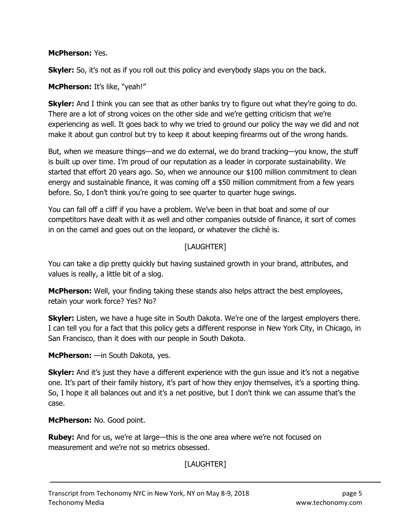#### McPherson: Yes.

**Skyler:** So, it's not as if you roll out this policy and everybody slaps you on the back.

#### McPherson: It's like, "yeah!"

**Skyler:** And I think you can see that as other banks try to figure out what they're going to do. There are a lot of strong voices on the other side and we're getting criticism that we're experiencing as well. It goes back to why we tried to ground our policy the way we did and not make it about gun control but try to keep it about keeping firearms out of the wrong hands.

But, when we measure things—and we do external, we do brand tracking—you know, the stuff is built up over time. I'm proud of our reputation as a leader in corporate sustainability. We started that effort 20 years ago. So, when we announce our \$100 million commitment to clean energy and sustainable finance, it was coming off a \$50 million commitment from a few years before. So, I don't think you're going to see quarter to quarter huge swings.

You can fall off a cliff if you have a problem. We've been in that boat and some of our competitors have dealt with it as well and other companies outside of finance, it sort of comes in on the camel and goes out on the leopard, or whatever the cliché is.

### [LAUGHTER]

You can take a dip pretty quickly but having sustained growth in your brand, attributes, and values is really, a little bit of a slog.

**McPherson:** Well, your finding taking these stands also helps attract the best employees, retain your work force? Yes? No?

**Skyler:** Listen, we have a huge site in South Dakota. We're one of the largest employers there. I can tell you for a fact that this policy gets a different response in New York City, in Chicago, in San Francisco, than it does with our people in South Dakota.

McPherson: —in South Dakota, yes.

**Skyler:** And it's just they have a different experience with the gun issue and it's not a negative one. It's part of their family history, it's part of how they enjoy themselves, it's a sporting thing. So, I hope it all balances out and it's a net positive, but I don't think we can assume that's the case.

McPherson: No. Good point.

**Rubey:** And for us, we're at large—this is the one area where we're not focused on measurement and we're not so metrics obsessed.

[LAUGHTER]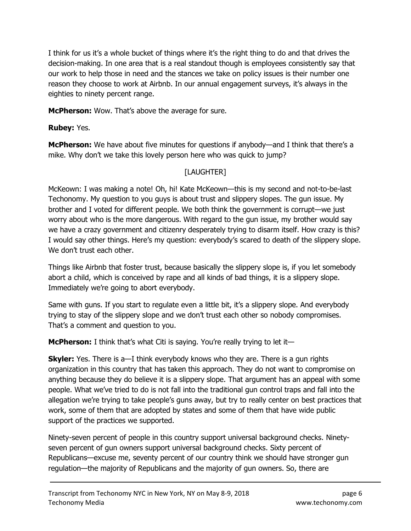I think for us it's a whole bucket of things where it's the right thing to do and that drives the decision-making. In one area that is a real standout though is employees consistently say that our work to help those in need and the stances we take on policy issues is their number one reason they choose to work at Airbnb. In our annual engagement surveys, it's always in the eighties to ninety percent range.

**McPherson:** Wow. That's above the average for sure.

**Rubey: Yes.** 

McPherson: We have about five minutes for questions if anybody—and I think that there's a mike. Why don't we take this lovely person here who was quick to jump?

# [LAUGHTER]

McKeown: I was making a note! Oh, hi! Kate McKeown—this is my second and not-to-be-last Techonomy. My question to you guys is about trust and slippery slopes. The gun issue. My brother and I voted for different people. We both think the government is corrupt—we just worry about who is the more dangerous. With regard to the gun issue, my brother would say we have a crazy government and citizenry desperately trying to disarm itself. How crazy is this? I would say other things. Here's my question: everybody's scared to death of the slippery slope. We don't trust each other.

Things like Airbnb that foster trust, because basically the slippery slope is, if you let somebody abort a child, which is conceived by rape and all kinds of bad things, it is a slippery slope. Immediately we're going to abort everybody.

Same with guns. If you start to regulate even a little bit, it's a slippery slope. And everybody trying to stay of the slippery slope and we don't trust each other so nobody compromises. That's a comment and question to you.

McPherson: I think that's what Citi is saying. You're really trying to let it-

**Skyler:** Yes. There is a—I think everybody knows who they are. There is a gun rights organization in this country that has taken this approach. They do not want to compromise on anything because they do believe it is a slippery slope. That argument has an appeal with some people. What we've tried to do is not fall into the traditional gun control traps and fall into the allegation we're trying to take people's guns away, but try to really center on best practices that work, some of them that are adopted by states and some of them that have wide public support of the practices we supported.

Ninety-seven percent of people in this country support universal background checks. Ninetyseven percent of gun owners support universal background checks. Sixty percent of Republicans—excuse me, seventy percent of our country think we should have stronger gun regulation—the majority of Republicans and the majority of gun owners. So, there are